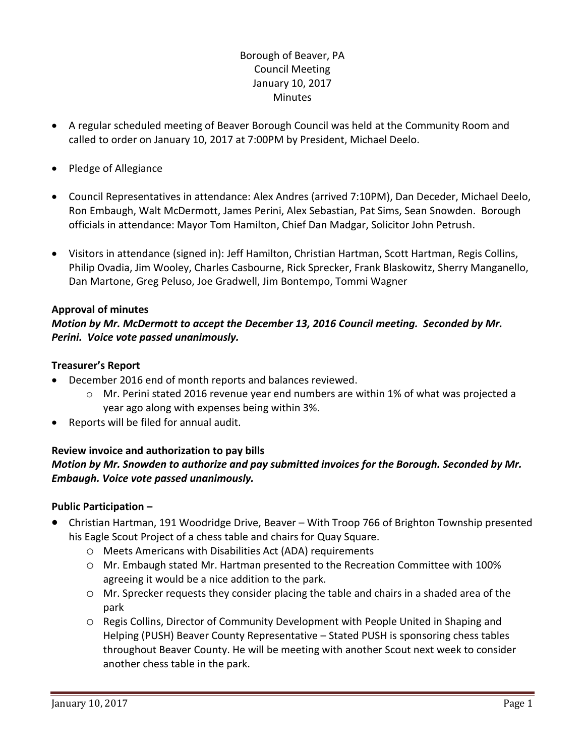# Borough of Beaver, PA Council Meeting January 10, 2017 **Minutes**

- A regular scheduled meeting of Beaver Borough Council was held at the Community Room and called to order on January 10, 2017 at 7:00PM by President, Michael Deelo.
- Pledge of Allegiance
- Council Representatives in attendance: Alex Andres (arrived 7:10PM), Dan Deceder, Michael Deelo, Ron Embaugh, Walt McDermott, James Perini, Alex Sebastian, Pat Sims, Sean Snowden. Borough officials in attendance: Mayor Tom Hamilton, Chief Dan Madgar, Solicitor John Petrush.
- Visitors in attendance (signed in): Jeff Hamilton, Christian Hartman, Scott Hartman, Regis Collins, Philip Ovadia, Jim Wooley, Charles Casbourne, Rick Sprecker, Frank Blaskowitz, Sherry Manganello, Dan Martone, Greg Peluso, Joe Gradwell, Jim Bontempo, Tommi Wagner

## **Approval of minutes**

*Motion by Mr. McDermott to accept the December 13, 2016 Council meeting. Seconded by Mr. Perini. Voice vote passed unanimously.* 

## **Treasurer's Report**

- December 2016 end of month reports and balances reviewed.
	- o Mr. Perini stated 2016 revenue year end numbers are within 1% of what was projected a year ago along with expenses being within 3%.
- Reports will be filed for annual audit.

# **Review invoice and authorization to pay bills** *Motion by Mr. Snowden to authorize and pay submitted invoices for the Borough. Seconded by Mr. Embaugh. Voice vote passed unanimously.*

# **Public Participation –**

- Christian Hartman, 191 Woodridge Drive, Beaver With Troop 766 of Brighton Township presented his Eagle Scout Project of a chess table and chairs for Quay Square.
	- o Meets Americans with Disabilities Act (ADA) requirements
	- o Mr. Embaugh stated Mr. Hartman presented to the Recreation Committee with 100% agreeing it would be a nice addition to the park.
	- o Mr. Sprecker requests they consider placing the table and chairs in a shaded area of the park
	- o Regis Collins, Director of Community Development with People United in Shaping and Helping (PUSH) Beaver County Representative – Stated PUSH is sponsoring chess tables throughout Beaver County. He will be meeting with another Scout next week to consider another chess table in the park.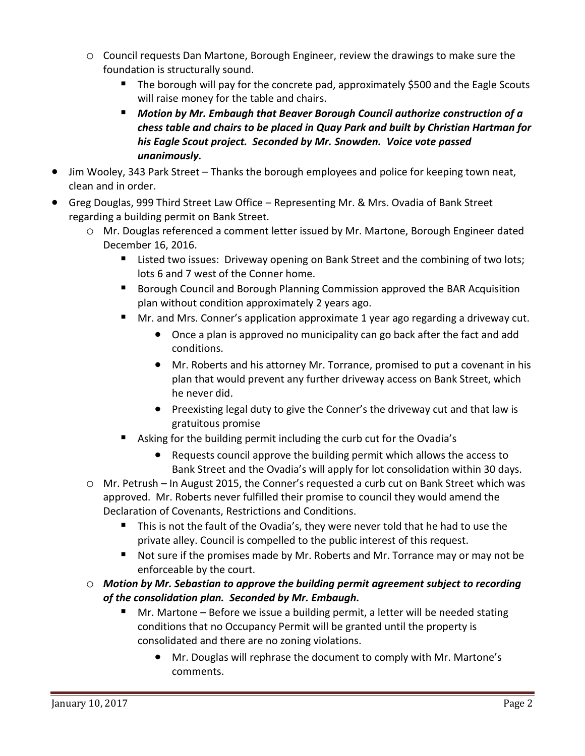- o Council requests Dan Martone, Borough Engineer, review the drawings to make sure the foundation is structurally sound.
	- The borough will pay for the concrete pad, approximately \$500 and the Eagle Scouts will raise money for the table and chairs.
	- *Motion by Mr. Embaugh that Beaver Borough Council authorize construction of a chess table and chairs to be placed in Quay Park and built by Christian Hartman for his Eagle Scout project. Seconded by Mr. Snowden. Voice vote passed unanimously.*
- Jim Wooley, 343 Park Street Thanks the borough employees and police for keeping town neat, clean and in order.
- Greg Douglas, 999 Third Street Law Office Representing Mr. & Mrs. Ovadia of Bank Street regarding a building permit on Bank Street.
	- o Mr. Douglas referenced a comment letter issued by Mr. Martone, Borough Engineer dated December 16, 2016.
		- Listed two issues: Driveway opening on Bank Street and the combining of two lots; lots 6 and 7 west of the Conner home.
		- **Borough Council and Borough Planning Commission approved the BAR Acquisition** plan without condition approximately 2 years ago.
		- Mr. and Mrs. Conner's application approximate 1 year ago regarding a driveway cut.
			- Once a plan is approved no municipality can go back after the fact and add conditions.
			- Mr. Roberts and his attorney Mr. Torrance, promised to put a covenant in his plan that would prevent any further driveway access on Bank Street, which he never did.
			- Preexisting legal duty to give the Conner's the driveway cut and that law is gratuitous promise
		- Asking for the building permit including the curb cut for the Ovadia's
			- Requests council approve the building permit which allows the access to Bank Street and the Ovadia's will apply for lot consolidation within 30 days.
	- o Mr. Petrush In August 2015, the Conner's requested a curb cut on Bank Street which was approved. Mr. Roberts never fulfilled their promise to council they would amend the Declaration of Covenants, Restrictions and Conditions.
		- This is not the fault of the Ovadia's, they were never told that he had to use the private alley. Council is compelled to the public interest of this request.
		- Not sure if the promises made by Mr. Roberts and Mr. Torrance may or may not be enforceable by the court.
	- o *Motion by Mr. Sebastian to approve the building permit agreement subject to recording of the consolidation plan. Seconded by Mr. Embaugh.* 
		- Mr. Martone Before we issue a building permit, a letter will be needed stating conditions that no Occupancy Permit will be granted until the property is consolidated and there are no zoning violations.
			- Mr. Douglas will rephrase the document to comply with Mr. Martone's comments.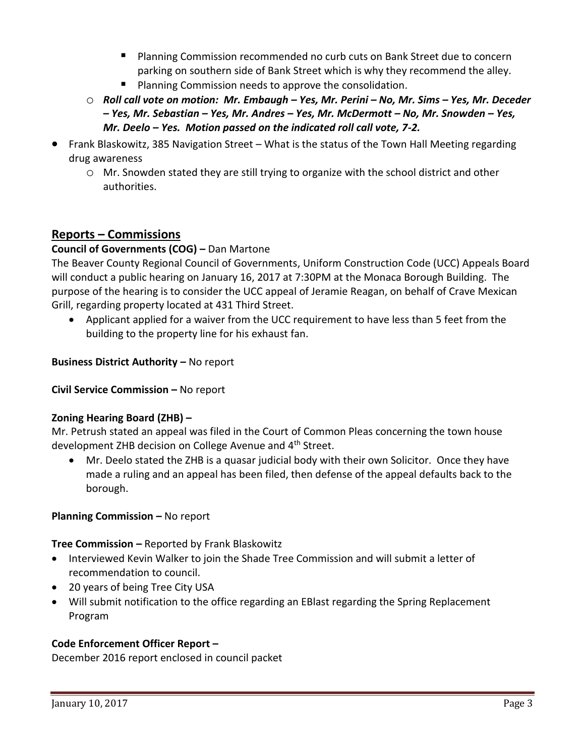- **PIANNIFIGM** Planning Commission recommended no curb cuts on Bank Street due to concern parking on southern side of Bank Street which is why they recommend the alley.
- **Planning Commission needs to approve the consolidation.**
- o *Roll call vote on motion: Mr. Embaugh – Yes, Mr. Perini – No, Mr. Sims – Yes, Mr. Deceder – Yes, Mr. Sebastian – Yes, Mr. Andres – Yes, Mr. McDermott – No, Mr. Snowden – Yes, Mr. Deelo – Yes. Motion passed on the indicated roll call vote, 7-2.*
- Frank Blaskowitz, 385 Navigation Street What is the status of the Town Hall Meeting regarding drug awareness
	- o Mr. Snowden stated they are still trying to organize with the school district and other authorities.

# **Reports – Commissions**

# **Council of Governments (COG) –** Dan Martone

The Beaver County Regional Council of Governments, Uniform Construction Code (UCC) Appeals Board will conduct a public hearing on January 16, 2017 at 7:30PM at the Monaca Borough Building. The purpose of the hearing is to consider the UCC appeal of Jeramie Reagan, on behalf of Crave Mexican Grill, regarding property located at 431 Third Street.

 Applicant applied for a waiver from the UCC requirement to have less than 5 feet from the building to the property line for his exhaust fan.

**Business District Authority - No report** 

**Civil Service Commission –** No report

## **Zoning Hearing Board (ZHB) –**

Mr. Petrush stated an appeal was filed in the Court of Common Pleas concerning the town house development ZHB decision on College Avenue and 4<sup>th</sup> Street.

 Mr. Deelo stated the ZHB is a quasar judicial body with their own Solicitor. Once they have made a ruling and an appeal has been filed, then defense of the appeal defaults back to the borough.

# **Planning Commission – No report**

**Tree Commission –** Reported by Frank Blaskowitz

- Interviewed Kevin Walker to join the Shade Tree Commission and will submit a letter of recommendation to council.
- 20 years of being Tree City USA
- Will submit notification to the office regarding an EBlast regarding the Spring Replacement Program

## **Code Enforcement Officer Report –**

December 2016 report enclosed in council packet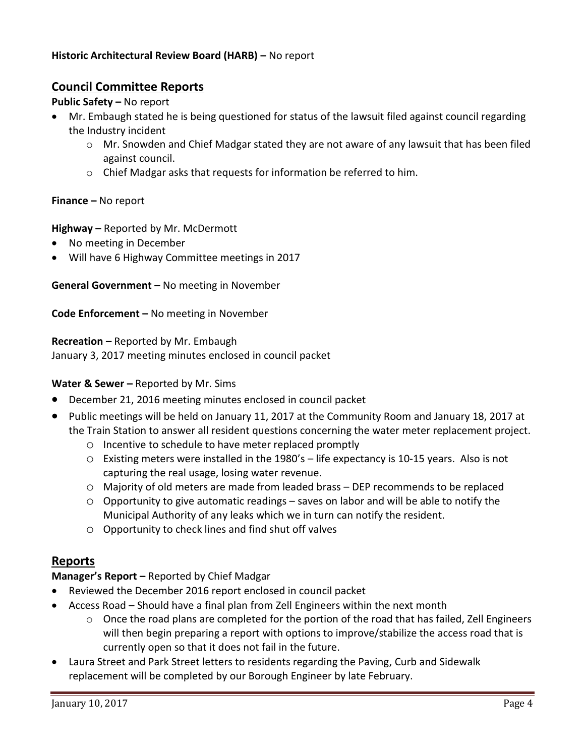## **Historic Architectural Review Board (HARB) –** No report

# **Council Committee Reports**

## **Public Safety –** No report

- Mr. Embaugh stated he is being questioned for status of the lawsuit filed against council regarding the Industry incident
	- o Mr. Snowden and Chief Madgar stated they are not aware of any lawsuit that has been filed against council.
	- o Chief Madgar asks that requests for information be referred to him.

## **Finance –** No report

## **Highway –** Reported by Mr. McDermott

- No meeting in December
- Will have 6 Highway Committee meetings in 2017

**General Government –** No meeting in November

**Code Enforcement –** No meeting in November

**Recreation –** Reported by Mr. Embaugh

January 3, 2017 meeting minutes enclosed in council packet

## **Water & Sewer -** Reported by Mr. Sims

- December 21, 2016 meeting minutes enclosed in council packet
- Public meetings will be held on January 11, 2017 at the Community Room and January 18, 2017 at the Train Station to answer all resident questions concerning the water meter replacement project.
	- o Incentive to schedule to have meter replaced promptly
	- o Existing meters were installed in the 1980's life expectancy is 10-15 years. Also is not capturing the real usage, losing water revenue.
	- o Majority of old meters are made from leaded brass DEP recommends to be replaced
	- $\circ$  Opportunity to give automatic readings saves on labor and will be able to notify the Municipal Authority of any leaks which we in turn can notify the resident.
	- o Opportunity to check lines and find shut off valves

# **Reports**

## **Manager's Report –** Reported by Chief Madgar

- Reviewed the December 2016 report enclosed in council packet
- Access Road Should have a final plan from Zell Engineers within the next month
	- o Once the road plans are completed for the portion of the road that has failed, Zell Engineers will then begin preparing a report with options to improve/stabilize the access road that is currently open so that it does not fail in the future.
- Laura Street and Park Street letters to residents regarding the Paving, Curb and Sidewalk replacement will be completed by our Borough Engineer by late February.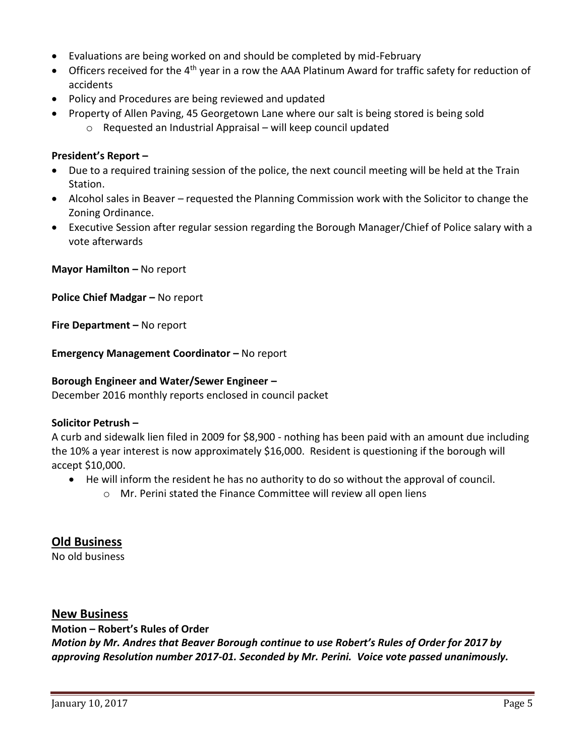- Evaluations are being worked on and should be completed by mid-February
- $\bullet$  Officers received for the 4<sup>th</sup> year in a row the AAA Platinum Award for traffic safety for reduction of accidents
- Policy and Procedures are being reviewed and updated
- Property of Allen Paving, 45 Georgetown Lane where our salt is being stored is being sold o Requested an Industrial Appraisal – will keep council updated

## **President's Report –**

- Due to a required training session of the police, the next council meeting will be held at the Train Station.
- Alcohol sales in Beaver requested the Planning Commission work with the Solicitor to change the Zoning Ordinance.
- Executive Session after regular session regarding the Borough Manager/Chief of Police salary with a vote afterwards

**Mayor Hamilton – No report** 

**Police Chief Madgar –** No report

**Fire Department –** No report

**Emergency Management Coordinator - No report** 

### **Borough Engineer and Water/Sewer Engineer –**

December 2016 monthly reports enclosed in council packet

## **Solicitor Petrush –**

A curb and sidewalk lien filed in 2009 for \$8,900 - nothing has been paid with an amount due including the 10% a year interest is now approximately \$16,000. Resident is questioning if the borough will accept \$10,000.

- He will inform the resident he has no authority to do so without the approval of council.
	- o Mr. Perini stated the Finance Committee will review all open liens

# **Old Business**

No old business

# **New Business**

## **Motion – Robert's Rules of Order**

*Motion by Mr. Andres that Beaver Borough continue to use Robert's Rules of Order for 2017 by approving Resolution number 2017-01. Seconded by Mr. Perini. Voice vote passed unanimously.*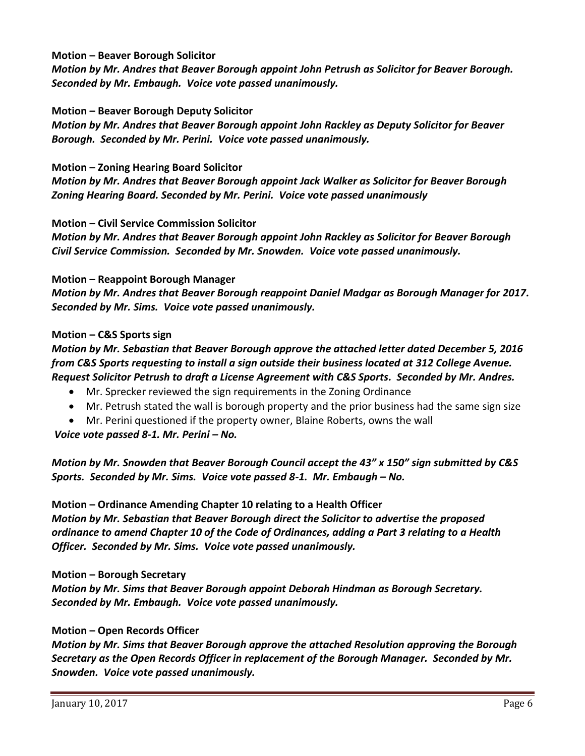## **Motion – Beaver Borough Solicitor**

*Motion by Mr. Andres that Beaver Borough appoint John Petrush as Solicitor for Beaver Borough. Seconded by Mr. Embaugh. Voice vote passed unanimously.*

#### **Motion – Beaver Borough Deputy Solicitor**

*Motion by Mr. Andres that Beaver Borough appoint John Rackley as Deputy Solicitor for Beaver Borough. Seconded by Mr. Perini. Voice vote passed unanimously.*

#### **Motion – Zoning Hearing Board Solicitor**

*Motion by Mr. Andres that Beaver Borough appoint Jack Walker as Solicitor for Beaver Borough Zoning Hearing Board. Seconded by Mr. Perini. Voice vote passed unanimously*

#### **Motion – Civil Service Commission Solicitor**

*Motion by Mr. Andres that Beaver Borough appoint John Rackley as Solicitor for Beaver Borough Civil Service Commission. Seconded by Mr. Snowden. Voice vote passed unanimously.*

#### **Motion – Reappoint Borough Manager**

*Motion by Mr. Andres that Beaver Borough reappoint Daniel Madgar as Borough Manager for 2017. Seconded by Mr. Sims. Voice vote passed unanimously.*

#### **Motion – C&S Sports sign**

# *Motion by Mr. Sebastian that Beaver Borough approve the attached letter dated December 5, 2016 from C&S Sports requesting to install a sign outside their business located at 312 College Avenue. Request Solicitor Petrush to draft a License Agreement with C&S Sports. Seconded by Mr. Andres.*

- Mr. Sprecker reviewed the sign requirements in the Zoning Ordinance
- Mr. Petrush stated the wall is borough property and the prior business had the same sign size

Mr. Perini questioned if the property owner, Blaine Roberts, owns the wall

*Voice vote passed 8-1. Mr. Perini – No.*

# *Motion by Mr. Snowden that Beaver Borough Council accept the 43" x 150" sign submitted by C&S*  Sports. Seconded by Mr. Sims. Voice vote passed 8-1. Mr. Embaugh – No.

**Motion – Ordinance Amending Chapter 10 relating to a Health Officer** *Motion by Mr. Sebastian that Beaver Borough direct the Solicitor to advertise the proposed ordinance to amend Chapter 10 of the Code of Ordinances, adding a Part 3 relating to a Health Officer. Seconded by Mr. Sims. Voice vote passed unanimously.*

#### **Motion – Borough Secretary**

*Motion by Mr. Sims that Beaver Borough appoint Deborah Hindman as Borough Secretary. Seconded by Mr. Embaugh. Voice vote passed unanimously.*

## **Motion – Open Records Officer**

*Motion by Mr. Sims that Beaver Borough approve the attached Resolution approving the Borough Secretary as the Open Records Officer in replacement of the Borough Manager. Seconded by Mr. Snowden. Voice vote passed unanimously.*